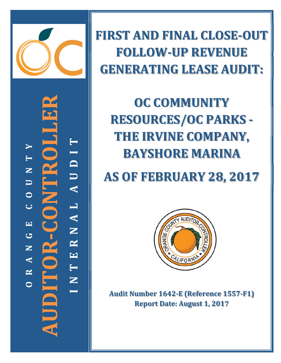

**‐CONTROLLER T TEROI YI TD NU U A O CL A EN** JDITOR-**GR AUDITOR NE A T R N OI**

**FIRST AND FINAL CLOSE‐OUT FOLLOW‐UP REVENUE GENERATING LEASE AUDIT:**

**OC COMMUNITY RESOURCES/OC PARKS -THE IRVINE COMPANY, BAYSHORE MARINA**

**AS OF FEBRUARY 28, 2017**



**Audit Number 1642‐E (Reference 1557‐F1) Report Date: August 1, 2017**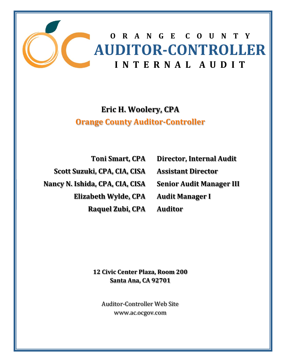

# **Eric H. Woolery, CPA Orange County Auditor‐Controller**

**Toni Smart, CPA Scott Suzuki, CPA, CIA, CISA Nancy N. Ishida, CPA, CIA, CISA Elizabeth Wylde, CPA Raquel Zubi, CPA** **Director, Internal Audit Assistant Director Senior Audit Manager III Audit Manager I Auditor**

**12 Civic Center Plaza, Room 200 Santa Ana, CA 92701**

Auditor-Controller Web Site www.ac.ocgov.com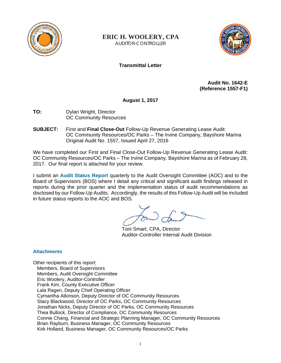

**ERIC H. WOOLERY, CPA** AUDITOR-CONTROLLER



## **Transmittal Letter**

**Audit No. 1642-E (Reference 1557-F1)** 

**August 1, 2017** 

- **TO:** Dylan Wright, Director OC Community Resources
- **SUBJECT:** First and **Final Close-Out** Follow-Up Revenue Generating Lease Audit: OC Community Resources/OC Parks – The Irvine Company, Bayshore Marina Original Audit No. 1557, Issued April 27, 2016

We have completed our First and Final Close-Out Follow-Up Revenue Generating Lease Audit: OC Community Resources/OC Parks – The Irvine Company, Bayshore Marina as of February 28, 2017. Our final report is attached for your review.

I submit an **Audit Status Report** quarterly to the Audit Oversight Committee (AOC) and to the Board of Supervisors (BOS) where I detail any critical and significant audit findings released in reports during the prior quarter and the implementation status of audit recommendations as disclosed by our Follow-Up Audits. Accordingly, the results of this Follow-Up Audit will be included in future status reports to the AOC and BOS.

Toni Smart, CPA, Director Auditor-Controller Internal Audit Division

### **Attachments**

Other recipients of this report: Members, Board of Supervisors Members, Audit Oversight Committee Eric Woolery, Auditor-Controller Frank Kim, County Executive Officer Lala Ragen, Deputy Chief Operating Officer Cymantha Atkinson, Deputy Director of OC Community Resources Stacy Blackwood, Director of OC Parks, OC Community Resources Jonathan Nicks, Deputy Director of OC Parks, OC Community Resources Thea Bullock, Director of Compliance, OC Community Resources Connie Chang, Financial and Strategic Planning Manager, OC Community Resources Brian Rayburn, Business Manager, OC Community Resources Kirk Holland, Business Manager, OC Community Resources/OC Parks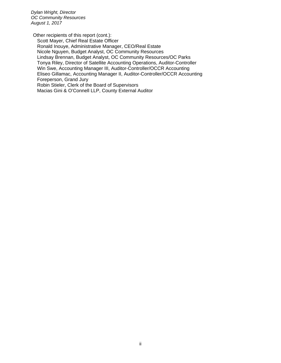*Dylan Wright, Director OC Community Resources August 1, 2017*

Other recipients of this report (cont.): Scott Mayer, Chief Real Estate Officer Ronald Inouye, Administrative Manager, CEO/Real Estate Nicole Nguyen, Budget Analyst, OC Community Resources Lindsay Brennan, Budget Analyst, OC Community Resources/OC Parks Tonya Riley, Director of Satellite Accounting Operations, Auditor-Controller Win Swe, Accounting Manager III, Auditor-Controller/OCCR Accounting Eliseo Gillamac, Accounting Manager II, Auditor-Controller/OCCR Accounting Foreperson, Grand Jury Robin Stieler, Clerk of the Board of Supervisors Macias Gini & O'Connell LLP, County External Auditor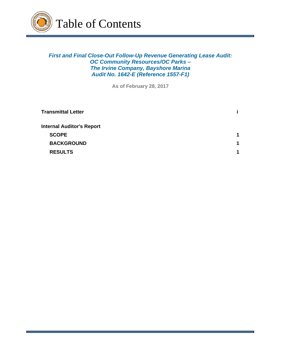

*First and Final Close-Out Follow-Up Revenue Generating Lease Audit: OC Community Resources/OC Parks – The Irvine Company, Bayshore Marina Audit No. 1642-E (Reference 1557-F1)*

**As of February 28, 2017**

| Transmittal Letter               |   |
|----------------------------------|---|
| <b>Internal Auditor's Report</b> |   |
| <b>SCOPE</b>                     | 1 |
| <b>BACKGROUND</b>                | 1 |
| <b>RESULTS</b>                   |   |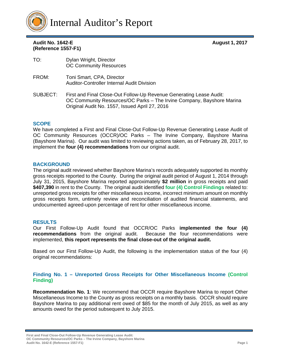

## Audit No. 1642-E **August 1, 2017 (Reference 1557-F1)**

| TO:      | Dylan Wright, Director<br><b>OC Community Resources</b>                                                                                                                                        |
|----------|------------------------------------------------------------------------------------------------------------------------------------------------------------------------------------------------|
| FROM:    | Toni Smart, CPA, Director<br><b>Auditor-Controller Internal Audit Division</b>                                                                                                                 |
| SUBJECT: | First and Final Close-Out Follow-Up Revenue Generating Lease Audit:<br>OC Community Resources/OC Parks - The Irvine Company, Bayshore Marina<br>Original Audit No. 1557, Issued April 27, 2016 |

### **SCOPE**

We have completed a First and Final Close-Out Follow-Up Revenue Generating Lease Audit of OC Community Resources (OCCR)/OC Parks – The Irvine Company, Bayshore Marina (Bayshore Marina). Our audit was limited to reviewing actions taken, as of February 28, 2017, to implement the **four (4) recommendations** from our original audit.

### **BACKGROUND**

The original audit reviewed whether Bayshore Marina's records adequately supported its monthly gross receipts reported to the County. During the original audit period of August 1, 2014 through July 31, 2015, Bayshore Marina reported approximately **\$2 million** in gross receipts and paid **\$407,390** in rent to the County. The original audit identified **four (4) Control Findings** related to: unreported gross receipts for other miscellaneous income, incorrect minimum amount on monthly gross receipts form, untimely review and reconciliation of audited financial statements, and undocumented agreed-upon percentage of rent for other miscellaneous income.

### **RESULTS**

Our First Follow-Up Audit found that OCCR/OC Parks **implemented the four (4) recommendations** from the original audit. Because the four recommendations were implemented, **this report represents the final close-out of the original audit.**

Based on our First Follow-Up Audit, the following is the implementation status of the four (4) original recommendations:

### **Finding No. 1 – Unreported Gross Receipts for Other Miscellaneous Income (Control Finding)**

**Recommendation No. 1**: We recommend that OCCR require Bayshore Marina to report Other Miscellaneous Income to the County as gross receipts on a monthly basis. OCCR should require Bayshore Marina to pay additional rent owed of \$85 for the month of July 2015, as well as any amounts owed for the period subsequent to July 2015.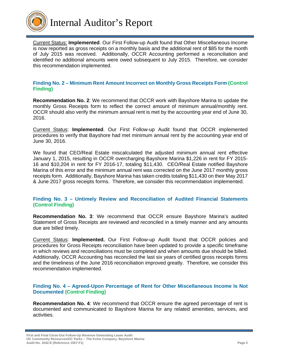

Current Status: **Implemented**. Our First Follow-up Audit found that Other Miscellaneous Income is now reported as gross receipts on a monthly basis and the additional rent of \$85 for the month of July 2015 was received. Additionally, OCCR Accounting performed a reconciliation and identified no additional amounts were owed subsequent to July 2015. Therefore, we consider this recommendation implemented.

#### **Finding No. 2 – Minimum Rent Amount Incorrect on Monthly Gross Receipts Form (Control Finding)**

**Recommendation No. 2**: We recommend that OCCR work with Bayshore Marina to update the monthly Gross Receipts form to reflect the correct amount of minimum annual/monthly rent. OCCR should also verify the minimum annual rent is met by the accounting year end of June 30, 2016.

Current Status: **Implemented**. Our First Follow-up Audit found that OCCR implemented procedures to verify that Bayshore had met minimum annual rent by the accounting year end of June 30, 2016.

We found that CEO/Real Estate miscalculated the adjusted minimum annual rent effective January 1, 2015, resulting in OCCR overcharging Bayshore Marina \$1,226 in rent for FY 2015- 16 and \$10,204 in rent for FY 2016-17, totaling \$11,430. CEO/Real Estate notified Bayshore Marina of this error and the minimum annual rent was corrected on the June 2017 monthly gross receipts form. Additionally, Bayshore Marina has taken credits totaling \$11,430 on their May 2017 & June 2017 gross receipts forms. Therefore, we consider this recommendation implemented.

### **Finding No. 3 – Untimely Review and Reconciliation of Audited Financial Statements (Control Finding)**

**Recommendation No. 3**: We recommend that OCCR ensure Bayshore Marina's audited Statement of Gross Receipts are reviewed and reconciled in a timely manner and any amounts due are billed timely.

Current Status: **Implemented.** Our First Follow-up Audit found that OCCR policies and procedures for Gross Receipts reconciliation have been updated to provide a specific timeframe in which reviews and reconciliations must be completed and when amounts due should be billed. Additionally, OCCR Accounting has reconciled the last six years of certified gross receipts forms and the timeliness of the June 2016 reconciliation improved greatly. Therefore, we consider this recommendation implemented.

#### **Finding No. 4 – Agreed-Upon Percentage of Rent for Other Miscellaneous Income Is Not Documented (Control Finding)**

**Recommendation No. 4**: We recommend that OCCR ensure the agreed percentage of rent is documented and communicated to Bayshore Marina for any related amenities, services, and activities.

**First and Final Close-Out Follow-Up Revenue Generating Lease Audit: OC Community Resources/OC Parks – The Irvine Company, Bayshore Marina Audit No. 1642-E (Reference 1557-F1) Page 2**